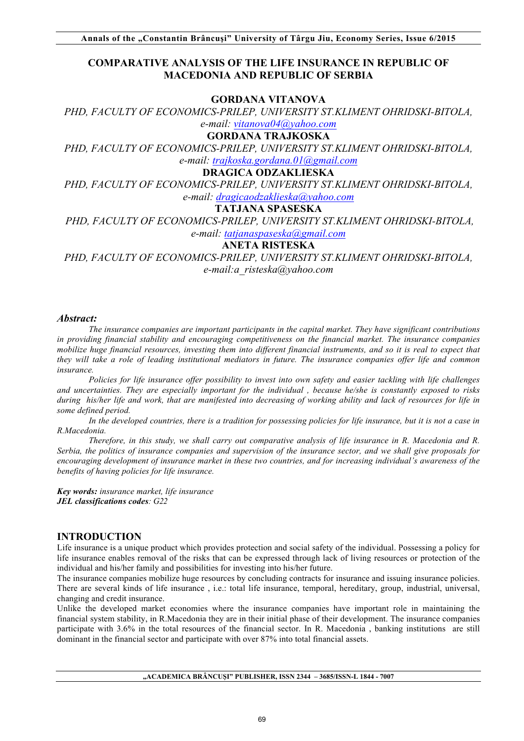# **COMPARATIVE ANALYSIS OF THE LIFE INSURANCE IN REPUBLIC OF MACEDONIA AND REPUBLIC OF SERBIA**

# **GORDANA VITANOVA**

*PHD, FACULTY OF ECONOMICS-PRILEP, UNIVERSITY ST.KLIMENT OHRIDSKI-BITOLA, e-mail: vitanova04@yahoo.com* 

#### **GORDANA TRAJKOSKA**

*PHD, FACULTY OF ECONOMICS-PRILEP, UNIVERSITY ST.KLIMENT OHRIDSKI-BITOLA, e-mail: trajkoska.gordana.01@gmail.com* 

### **DRAGICA ODZAKLIESKA**

*PHD, FACULTY OF ECONOMICS-PRILEP, UNIVERSITY ST.KLIMENT OHRIDSKI-BITOLA,* 

# *e-mail: dragicaodzaklieska@yahoo.com*

**TATJANA SPASESKA** 

*PHD, FACULTY OF ECONOMICS-PRILEP, UNIVERSITY ST.KLIMENT OHRIDSKI-BITOLA,* 

# *e-mail: tatjanaspaseska@gmail.com*

# **ANETA RISTESKA**

*PHD, FACULTY OF ECONOMICS-PRILEP, UNIVERSITY ST.KLIMENT OHRIDSKI-BITOLA, e-mail:a\_risteska@yahoo.com* 

#### *Abstract:*

*The insurance companies are important participants in the capital market. They have significant contributions in providing financial stability and encouraging competitiveness on the financial market. The insurance companies mobilize huge financial resources, investing them into different financial instruments, and so it is real to expect that they will take a role of leading institutional mediators in future. The insurance companies offer life and common insurance.*

*Policies for life insurance offer possibility to invest into own safety and easier tackling with life challenges and uncertainties. They are especially important for the individual , because he/she is constantly exposed to risks during his/her life and work, that are manifested into decreasing of working ability and lack of resources for life in some defined period.*

*In the developed countries, there is a tradition for possessing policies for life insurance, but it is not a case in R.Macedonia.*

*Therefore, in this study, we shall carry out comparative analysis of life insurance in R. Macedonia and R. Serbia, the politics of insurance companies and supervision of the insurance sector, and we shall give proposals for encouraging development of insurance market in these two countries, and for increasing individual's awareness of the benefits of having policies for life insurance.*

*Key words: insurance market, life insurance JEL classifications codes: G22*

## **INTRODUCTION**

Life insurance is a unique product which provides protection and social safety of the individual. Possessing a policy for life insurance enables removal of the risks that can be expressed through lack of living resources or protection of the individual and his/her family and possibilities for investing into his/her future.

The insurance companies mobilize huge resources by concluding contracts for insurance and issuing insurance policies. There are several kinds of life insurance , i.e.: total life insurance, temporal, hereditary, group, industrial, universal, changing and credit insurance.

Unlike the developed market economies where the insurance companies have important role in maintaining the financial system stability, in R.Macedonia they are in their initial phase of their development. The insurance companies participate with 3.6% in the total resources of the financial sector. In R. Macedonia , banking institutions are still dominant in the financial sector and participate with over 87% into total financial assets.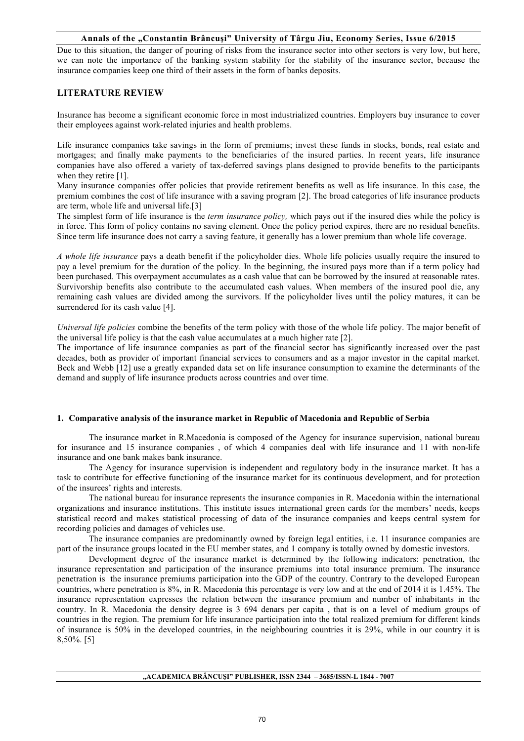Due to this situation, the danger of pouring of risks from the insurance sector into other sectors is very low, but here, we can note the importance of the banking system stability for the stability of the insurance sector, because the insurance companies keep one third of their assets in the form of banks deposits.

# **LITERATURE REVIEW**

Insurance has become a significant economic force in most industrialized countries. Employers buy insurance to cover their employees against work-related injuries and health problems.

Life insurance companies take savings in the form of premiums; invest these funds in stocks, bonds, real estate and mortgages; and finally make payments to the beneficiaries of the insured parties. In recent years, life insurance companies have also offered a variety of tax-deferred savings plans designed to provide benefits to the participants when they retire [1].

Many insurance companies offer policies that provide retirement benefits as well as life insurance. In this case, the premium combines the cost of life insurance with a saving program [2]. The broad categories of life insurance products are term, whole life and universal life.[3]

The simplest form of life insurance is the *term insurance policy,* which pays out if the insured dies while the policy is in force. This form of policy contains no saving element. Once the policy period expires, there are no residual benefits. Since term life insurance does not carry a saving feature, it generally has a lower premium than whole life coverage.

*A whole life insurance* pays a death benefit if the policyholder dies. Whole life policies usually require the insured to pay a level premium for the duration of the policy. In the beginning, the insured pays more than if a term policy had been purchased. This overpayment accumulates as a cash value that can be borrowed by the insured at reasonable rates. Survivorship benefits also contribute to the accumulated cash values. When members of the insured pool die, any remaining cash values are divided among the survivors. If the policyholder lives until the policy matures, it can be surrendered for its cash value [4].

*Universal life policies* combine the benefits of the term policy with those of the whole life policy. The major benefit of the universal life policy is that the cash value accumulates at a much higher rate [2].

The importance of life insurance companies as part of the financial sector has significantly increased over the past decades, both as provider of important financial services to consumers and as a major investor in the capital market. Beck and Webb [12] use a greatly expanded data set on life insurance consumption to examine the determinants of the demand and supply of life insurance products across countries and over time.

### **1. Comparative analysis of the insurance market in Republic of Macedonia and Republic of Serbia**

The insurance market in R.Macedonia is composed of the Agency for insurance supervision, national bureau for insurance and 15 insurance companies , of which 4 companies deal with life insurance and 11 with non-life insurance and one bank makes bank insurance.

The Agency for insurance supervision is independent and regulatory body in the insurance market. It has a task to contribute for effective functioning of the insurance market for its continuous development, and for protection of the insurees' rights and interests.

The national bureau for insurance represents the insurance companies in R. Macedonia within the international organizations and insurance institutions. This institute issues international green cards for the members' needs, keeps statistical record and makes statistical processing of data of the insurance companies and keeps central system for recording policies and damages of vehicles use.

The insurance companies are predominantly owned by foreign legal entities, i.e. 11 insurance companies are part of the insurance groups located in the EU member states, and 1 company is totally owned by domestic investors.

Development degree of the insurance market is determined by the following indicators: penetration, the insurance representation and participation of the insurance premiums into total insurance premium. The insurance penetration is the insurance premiums participation into the GDP of the country. Contrary to the developed European countries, where penetration is 8%, in R. Macedonia this percentage is very low and at the end of 2014 it is 1.45%. The insurance representation expresses the relation between the insurance premium and number of inhabitants in the country. In R. Macedonia the density degree is 3 694 denars per capita , that is on a level of medium groups of countries in the region. The premium for life insurance participation into the total realized premium for different kinds of insurance is 50% in the developed countries, in the neighbouring countries it is 29%, while in our country it is 8,50%. [5]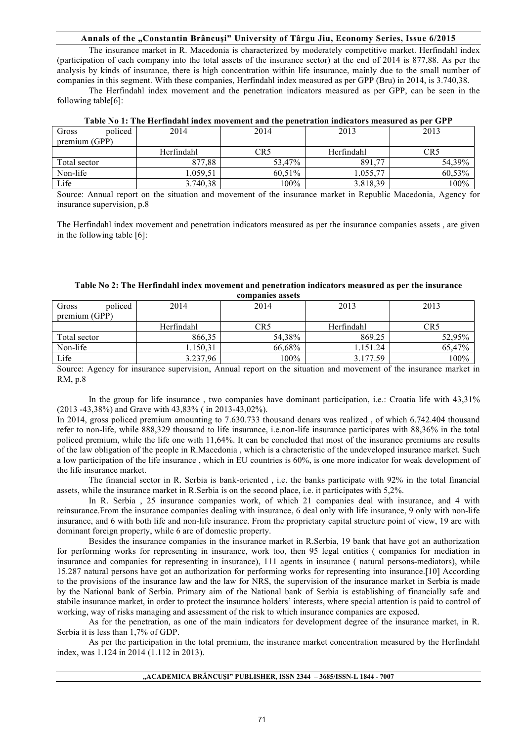The insurance market in R. Macedonia is characterized by moderately competitive market. Herfindahl index (participation of each company into the total assets of the insurance sector) at the end of 2014 is 877,88. As per the analysis by kinds of insurance, there is high concentration within life insurance, mainly due to the small number of companies in this segment. With these companies, Herfindahl index measured as per GPP (Bru) in 2014, is 3.740,38.

The Herfindahl index movement and the penetration indicators measured as per GPP, can be seen in the following table[6]:

| policed<br>Gross | 2014       | 2014   | 2013       | 2013   |
|------------------|------------|--------|------------|--------|
| premium (GPP)    |            |        |            |        |
|                  | Herfindahl | CR5    | Herfindahl | CR5    |
| Total sector     | 877,88     | 53,47% | 891,77     | 54,39% |
| Non-life         | 1.059,51   | 60,51% | 1.055,77   | 60,53% |
| Life             | 3.740,38   | 100%   | 3.818,39   | 100%   |

| Table No 1: The Herfindahl index movement and the penetration indicators measured as per GPP |  |
|----------------------------------------------------------------------------------------------|--|
|----------------------------------------------------------------------------------------------|--|

Source: Annual report on the situation and movement of the insurance market in Republic Macedonia, Agency for insurance supervision, p.8

The Herfindahl index movement and penetration indicators measured as per the insurance companies assets , are given in the following table [6]:

| Table No 2: The Herfindahl index movement and penetration indicators measured as per the insurance |
|----------------------------------------------------------------------------------------------------|
| companies assets                                                                                   |

| policed<br>Gross | 2014       | 2014            | 2013       | 2013   |  |  |  |
|------------------|------------|-----------------|------------|--------|--|--|--|
| premium (GPP)    |            |                 |            |        |  |  |  |
|                  | Herfindahl | CR <sub>5</sub> | Herfindahl | CR5    |  |  |  |
| Total sector     | 866,35     | 54,38%          | 869.25     | 52,95% |  |  |  |
| Non-life         | 1.150,31   | 66.68%          | 1.151.24   | 65,47% |  |  |  |
| Life             | 3.237,96   | $100\%$         | 3.177.59   | 100%   |  |  |  |

Source: Agency for insurance supervision, Annual report on the situation and movement of the insurance market in RM, p.8

In the group for life insurance , two companies have dominant participation, i.e.: Croatia life with 43,31% (2013 -43,38%) and Grave with 43,83% ( in 2013-43,02%).

In 2014, gross policed premium amounting to 7.630.733 thousand denars was realized , of which 6.742.404 thousand refer to non-life, while 888,329 thousand to life insurance, i.e.non-life insurance participates with 88,36% in the total policed premium, while the life one with 11,64%. It can be concluded that most of the insurance premiums are results of the law obligation of the people in R.Macedonia , which is a chracteristic of the undeveloped insurance market. Such a low participation of the life insurance , which in EU countries is 60%, is one more indicator for weak development of the life insurance market.

The financial sector in R. Serbia is bank-oriented , i.e. the banks participate with 92% in the total financial assets, while the insurance market in R.Serbia is on the second place, i.e. it participates with 5,2%.

In R. Serbia , 25 insurance companies work, of which 21 companies deal with insurance, and 4 with reinsurance.From the insurance companies dealing with insurance, 6 deal only with life insurance, 9 only with non-life insurance, and 6 with both life and non-life insurance. From the proprietary capital structure point of view, 19 are with dominant foreign property, while 6 are of domestic property.

Besides the insurance companies in the insurance market in R.Serbia, 19 bank that have got an authorization for performing works for representing in insurance, work too, then 95 legal entities ( companies for mediation in insurance and companies for representing in insurance), 111 agents in insurance ( natural persons-mediators), while 15.287 natural persons have got an authorization for performing works for representing into insurance.[10] According to the provisions of the insurance law and the law for NRS, the supervision of the insurance market in Serbia is made by the National bank of Serbia. Primary aim of the National bank of Serbia is establishing of financially safe and stabile insurance market, in order to protect the insurance holders' interests, where special attention is paid to control of working, way of risks managing and assessment of the risk to which insurance companies are exposed.

As for the penetration, as one of the main indicators for development degree of the insurance market, in R. Serbia it is less than 1,7% of GDP.

As per the participation in the total premium, the insurance market concentration measured by the Herfindahl index, was 1.124 in 2014 (1.112 in 2013).

#### **"ACADEMICA BRÂNCUŞI" PUBLISHER, ISSN 2344 – 3685/ISSN-L 1844 - 7007**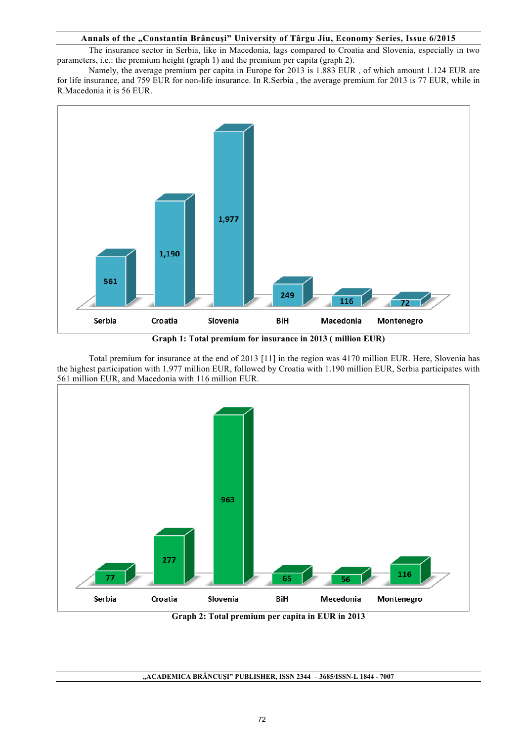The insurance sector in Serbia, like in Macedonia, lags compared to Croatia and Slovenia, especially in two parameters, i.e.: the premium height (graph 1) and the premium per capita (graph 2).

Namely, the average premium per capita in Europe for 2013 is 1.883 EUR , of which amount 1.124 EUR are for life insurance, and 759 EUR for non-life insurance. In R.Serbia , the average premium for 2013 is 77 EUR, while in R.Macedonia it is 56 EUR.



**Graph 1: Total premium for insurance in 2013 ( million EUR)**

Total premium for insurance at the end of 2013 [11] in the region was 4170 million EUR. Here, Slovenia has the highest participation with 1.977 million EUR, followed by Croatia with 1.190 million EUR, Serbia participates with 561 million EUR, and Macedonia with 116 million EUR.



**Graph 2: Total premium per capita in EUR in 2013**

**"ACADEMICA BRÂNCUŞI" PUBLISHER, ISSN 2344 – 3685/ISSN-L 1844 - 7007**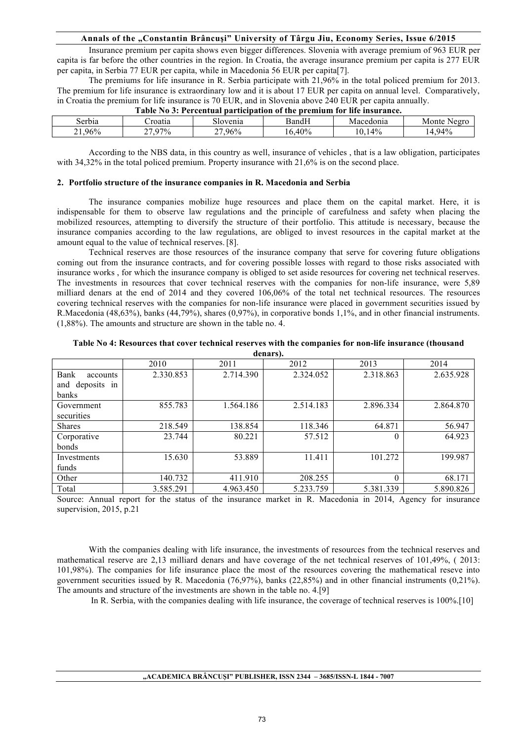Insurance premium per capita shows even bigger differences. Slovenia with average premium of 963 EUR per capita is far before the other countries in the region. In Croatia, the average insurance premium per capita is 277 EUR per capita, in Serbia 77 EUR per capita, while in Macedonia 56 EUR per capita[7].

The premiums for life insurance in R. Serbia participate with 21,96% in the total policed premium for 2013. The premium for life insurance is extraordinary low and it is about 17 EUR per capita on annual level. Comparatively, in Croatia the premium for life insurance is 70 EUR, and in Slovenia above 240 EUR per capita annually.

| Tavit To 0. I cleentaal bal delbation of the blemiam for mourance. |                          |          |                |           |                            |  |
|--------------------------------------------------------------------|--------------------------|----------|----------------|-----------|----------------------------|--|
| serbia                                                             | roatia                   | Slovenia | $\text{BandF}$ | Macedonia | $N\rho$ or $\tau$<br>Monte |  |
| 96%<br>∸                                                           | $97\%$<br>^~<br><u>.</u> | 96%      | 40%            | 4%        | 94%                        |  |

**Table No 3: Percentual participation of the premium for life insurance.**

According to the NBS data, in this country as well, insurance of vehicles , that is a law obligation, participates with 34,32% in the total policed premium. Property insurance with 21,6% is on the second place.

#### **2. Portfolio structure of the insurance companies in R. Macedonia and Serbia**

The insurance companies mobilize huge resources and place them on the capital market. Here, it is indispensable for them to observe law regulations and the principle of carefulness and safety when placing the mobilized resources, attempting to diversify the structure of their portfolio. This attitude is necessary, because the insurance companies according to the law regulations, are obliged to invest resources in the capital market at the amount equal to the value of technical reserves.[8].

Technical reserves are those resources of the insurance company that serve for covering future obligations coming out from the insurance contracts, and for covering possible losses with regard to those risks associated with insurance works , for which the insurance company is obliged to set aside resources for covering net technical reserves. The investments in resources that cover technical reserves with the companies for non-life insurance, were 5,89 milliard denars at the end of 2014 and they covered 106,06% of the total net technical resources. The resources covering technical reserves with the companies for non-life insurance were placed in government securities issued by R.Macedonia (48,63%), banks (44,79%), shares (0,97%), in corporative bonds 1,1%, and in other financial instruments. (1,88%). The amounts and structure are shown in the table no. 4.

| Table No 4: Resources that cover technical reserves with the companies for non-life insurance (thousand |  |
|---------------------------------------------------------------------------------------------------------|--|
| denars).                                                                                                |  |

| uviidi 910       |           |           |           |           |           |  |
|------------------|-----------|-----------|-----------|-----------|-----------|--|
|                  | 2010      | 2011      | 2012      | 2013      | 2014      |  |
| Bank<br>accounts | 2.330.853 | 2.714.390 | 2.324.052 | 2.318.863 | 2.635.928 |  |
| and deposits in  |           |           |           |           |           |  |
| banks            |           |           |           |           |           |  |
| Government       | 855.783   | 1.564.186 | 2.514.183 | 2.896.334 | 2.864.870 |  |
| securities       |           |           |           |           |           |  |
| <b>Shares</b>    | 218.549   | 138.854   | 118.346   | 64.871    | 56.947    |  |
| Corporative      | 23.744    | 80.221    | 57.512    | 0         | 64.923    |  |
| bonds            |           |           |           |           |           |  |
| Investments      | 15.630    | 53.889    | 11.411    | 101.272   | 199.987   |  |
| funds            |           |           |           |           |           |  |
| Other            | 140.732   | 411.910   | 208.255   | $\theta$  | 68.171    |  |
| Total            | 3.585.291 | 4.963.450 | 5.233.759 | 5.381.339 | 5.890.826 |  |

Source: Annual report for the status of the insurance market in R. Macedonia in 2014, Agency for insurance supervision, 2015, p.21

With the companies dealing with life insurance, the investments of resources from the technical reserves and mathematical reserve are 2,13 milliard denars and have coverage of the net technical reserves of 101,49%, ( 2013: 101,98%). The companies for life insurance place the most of the resources covering the mathematical reseve into government securities issued by R. Macedonia (76,97%), banks (22,85%) and in other financial instruments (0,21%). The amounts and structure of the investments are shown in the table no. 4.[9]

In R. Serbia, with the companies dealing with life insurance, the coverage of technical reserves is 100%.[10]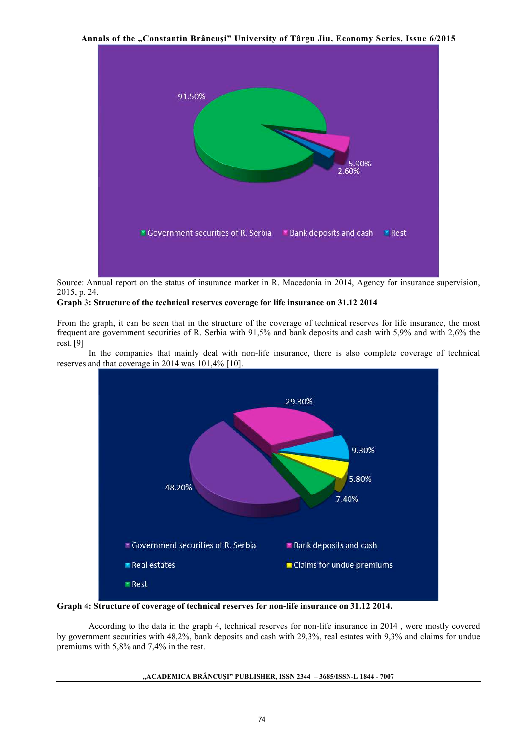

Source: Annual report on the status of insurance market in R. Macedonia in 2014, Agency for insurance supervision, 2015, p. 24.

#### **Graph 3: Structure of the technical reserves coverage for life insurance on 31.12 2014**

From the graph, it can be seen that in the structure of the coverage of technical reserves for life insurance, the most frequent are government securities of R. Serbia with 91,5% and bank deposits and cash with 5,9% and with 2,6% the rest. [9]

In the companies that mainly deal with non-life insurance, there is also complete coverage of technical reserves and that coverage in 2014 was 101,4% [10].



**Graph 4: Structure of coverage of technical reserves for non-life insurance on 31.12 2014.**

According to the data in the graph 4, technical reserves for non-life insurance in 2014 , were mostly covered by government securities with 48,2%, bank deposits and cash with 29,3%, real estates with 9,3% and claims for undue premiums with 5,8% and 7,4% in the rest.

#### **"ACADEMICA BRÂNCUŞI" PUBLISHER, ISSN 2344 – 3685/ISSN-L 1844 - 7007**